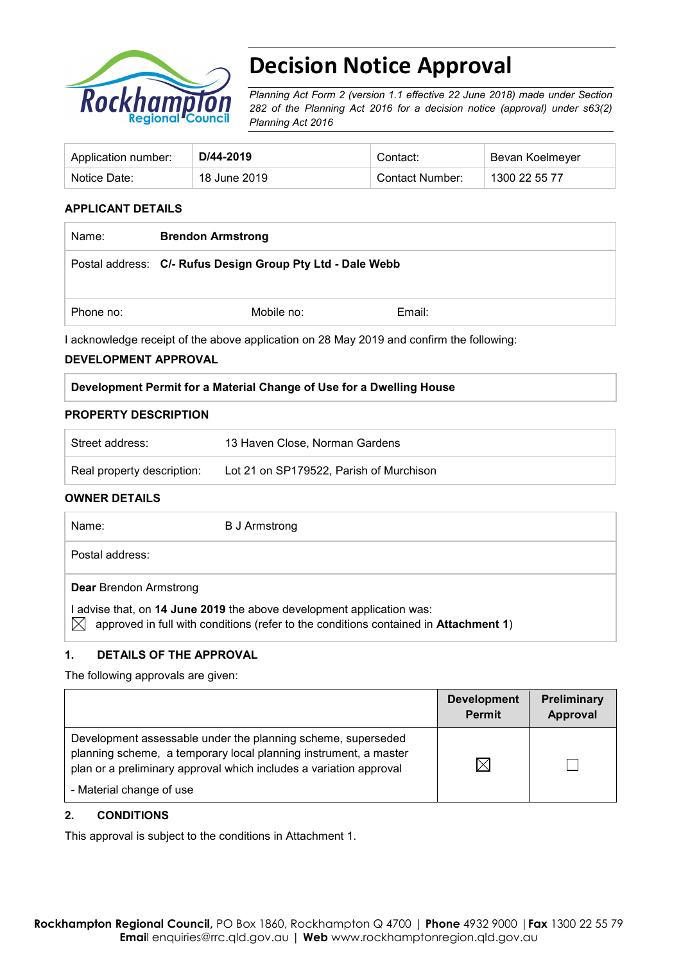

# **Decision Notice Approval**

*Planning Act Form 2 (version 1.1 effective 22 June 2018) made under Section 282 of the Planning Act 2016 for a decision notice (approval) under s63(2) Planning Act 2016*

| Application number: | D/44-2019    | Contact:        | Bevan Koelmeyer |
|---------------------|--------------|-----------------|-----------------|
| Notice Date:        | 18 June 2019 | Contact Number: | 1300 22 55 77   |

#### **APPLICANT DETAILS**

| Name:     | <b>Brendon Armstrong</b>                                   |        |  |
|-----------|------------------------------------------------------------|--------|--|
|           | Postal address: C/- Rufus Design Group Pty Ltd - Dale Webb |        |  |
| Phone no: | Mobile no:                                                 | Email: |  |

I acknowledge receipt of the above application on 28 May 2019 and confirm the following:

#### **DEVELOPMENT APPROVAL**

#### **Development Permit for a Material Change of Use for a Dwelling House**

#### **PROPERTY DESCRIPTION**

| Street address:            | 13 Haven Close, Norman Gardens          |
|----------------------------|-----------------------------------------|
| Real property description: | Lot 21 on SP179522, Parish of Murchison |

#### **OWNER DETAILS**

| Name:                              | B J Armstrong                                                                                                                                                 |
|------------------------------------|---------------------------------------------------------------------------------------------------------------------------------------------------------------|
| Postal address:                    |                                                                                                                                                               |
| <b>Dear</b> Brendon Armstrong<br>M | I advise that, on 14 June 2019 the above development application was:<br>approved in full with conditions (refer to the conditions contained in Attachment 1) |

#### **1. DETAILS OF THE APPROVAL**

The following approvals are given:

|                                                                                                                                                                                                                                    | <b>Development</b><br><b>Permit</b> | Preliminary<br>Approval |
|------------------------------------------------------------------------------------------------------------------------------------------------------------------------------------------------------------------------------------|-------------------------------------|-------------------------|
| Development assessable under the planning scheme, superseded<br>planning scheme, a temporary local planning instrument, a master<br>plan or a preliminary approval which includes a variation approval<br>- Material change of use | IX                                  |                         |

#### **2. CONDITIONS**

This approval is subject to the conditions in Attachment 1.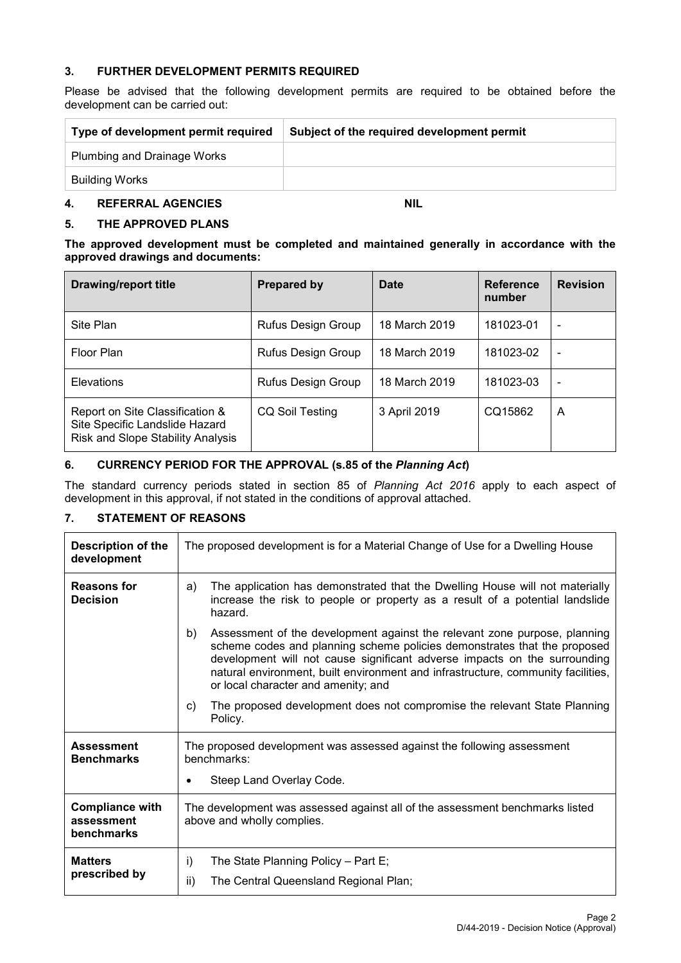#### **3. FURTHER DEVELOPMENT PERMITS REQUIRED**

Please be advised that the following development permits are required to be obtained before the development can be carried out:

| Type of development permit required | Subject of the required development permit |
|-------------------------------------|--------------------------------------------|
| Plumbing and Drainage Works         |                                            |
| Building Works                      |                                            |

#### **4. REFERRAL AGENCIES NIL**

#### **5. THE APPROVED PLANS**

**The approved development must be completed and maintained generally in accordance with the approved drawings and documents:**

| <b>Drawing/report title</b>                                                                            | <b>Prepared by</b>        | Date          | Reference<br>number | <b>Revision</b> |
|--------------------------------------------------------------------------------------------------------|---------------------------|---------------|---------------------|-----------------|
| Site Plan                                                                                              | Rufus Design Group        | 18 March 2019 | 181023-01           |                 |
| Floor Plan                                                                                             | Rufus Design Group        | 18 March 2019 | 181023-02           | -               |
| Elevations                                                                                             | <b>Rufus Design Group</b> | 18 March 2019 | 181023-03           |                 |
| Report on Site Classification &<br>Site Specific Landslide Hazard<br>Risk and Slope Stability Analysis | CQ Soil Testing           | 3 April 2019  | CQ15862             | A               |

#### **6. CURRENCY PERIOD FOR THE APPROVAL (s.85 of the** *Planning Act***)**

The standard currency periods stated in section 85 of *Planning Act 2016* apply to each aspect of development in this approval, if not stated in the conditions of approval attached.

### **7. STATEMENT OF REASONS**

| Description of the<br>development                  | The proposed development is for a Material Change of Use for a Dwelling House                                                                                                                                                                                                                                                                                       |
|----------------------------------------------------|---------------------------------------------------------------------------------------------------------------------------------------------------------------------------------------------------------------------------------------------------------------------------------------------------------------------------------------------------------------------|
| <b>Reasons for</b><br><b>Decision</b>              | The application has demonstrated that the Dwelling House will not materially<br>a)<br>increase the risk to people or property as a result of a potential landslide<br>hazard.                                                                                                                                                                                       |
|                                                    | Assessment of the development against the relevant zone purpose, planning<br>b)<br>scheme codes and planning scheme policies demonstrates that the proposed<br>development will not cause significant adverse impacts on the surrounding<br>natural environment, built environment and infrastructure, community facilities,<br>or local character and amenity; and |
|                                                    | The proposed development does not compromise the relevant State Planning<br>C)<br>Policy.                                                                                                                                                                                                                                                                           |
| <b>Assessment</b><br><b>Benchmarks</b>             | The proposed development was assessed against the following assessment<br>benchmarks:                                                                                                                                                                                                                                                                               |
|                                                    | Steep Land Overlay Code.                                                                                                                                                                                                                                                                                                                                            |
| <b>Compliance with</b><br>assessment<br>benchmarks | The development was assessed against all of the assessment benchmarks listed<br>above and wholly complies.                                                                                                                                                                                                                                                          |
| <b>Matters</b>                                     | The State Planning Policy - Part E;<br>i)                                                                                                                                                                                                                                                                                                                           |
| prescribed by                                      | The Central Queensland Regional Plan;<br>ii)                                                                                                                                                                                                                                                                                                                        |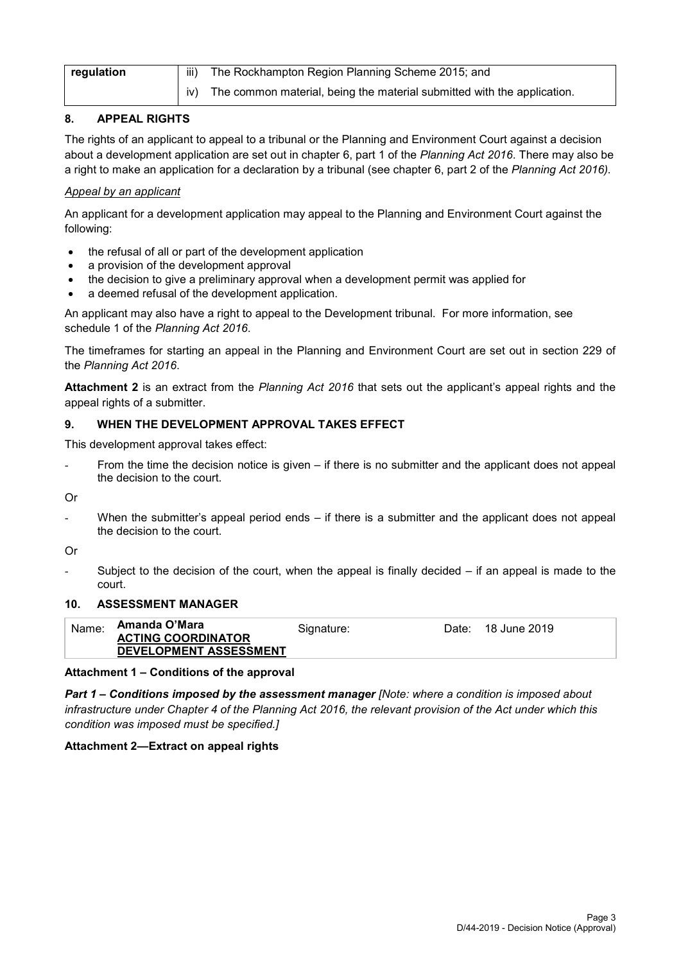| iii)<br>regulation |     | The Rockhampton Region Planning Scheme 2015; and                        |
|--------------------|-----|-------------------------------------------------------------------------|
|                    | IV) | The common material, being the material submitted with the application. |

## **8. APPEAL RIGHTS**

The rights of an applicant to appeal to a tribunal or the Planning and Environment Court against a decision about a development application are set out in chapter 6, part 1 of the *Planning Act 2016*. There may also be a right to make an application for a declaration by a tribunal (see chapter 6, part 2 of the *Planning Act 2016).*

## *Appeal by an applicant*

An applicant for a development application may appeal to the Planning and Environment Court against the following:

- the refusal of all or part of the development application
- a provision of the development approval
- the decision to give a preliminary approval when a development permit was applied for
- a deemed refusal of the development application.

An applicant may also have a right to appeal to the Development tribunal. For more information, see schedule 1 of the *Planning Act 2016*.

The timeframes for starting an appeal in the Planning and Environment Court are set out in section 229 of the *Planning Act 2016*.

**Attachment 2** is an extract from the *Planning Act 2016* that sets out the applicant's appeal rights and the appeal rights of a submitter.

#### **9. WHEN THE DEVELOPMENT APPROVAL TAKES EFFECT**

This development approval takes effect:

From the time the decision notice is given  $-$  if there is no submitter and the applicant does not appeal the decision to the court.

Or

When the submitter's appeal period ends  $-$  if there is a submitter and the applicant does not appeal the decision to the court.

Or

Subject to the decision of the court, when the appeal is finally decided  $-$  if an appeal is made to the court.

#### **10. ASSESSMENT MANAGER**

| Name: | Amanda O'Mara             | Signature: | Date: | 18 June 2019 |
|-------|---------------------------|------------|-------|--------------|
|       | <b>ACTING COORDINATOR</b> |            |       |              |
|       | DEVELOPMENT ASSESSMENT    |            |       |              |

#### **Attachment 1 – Conditions of the approval**

*Part 1* **–** *Conditions imposed by the assessment manager [Note: where a condition is imposed about infrastructure under Chapter 4 of the Planning Act 2016, the relevant provision of the Act under which this condition was imposed must be specified.]*

#### **Attachment 2—Extract on appeal rights**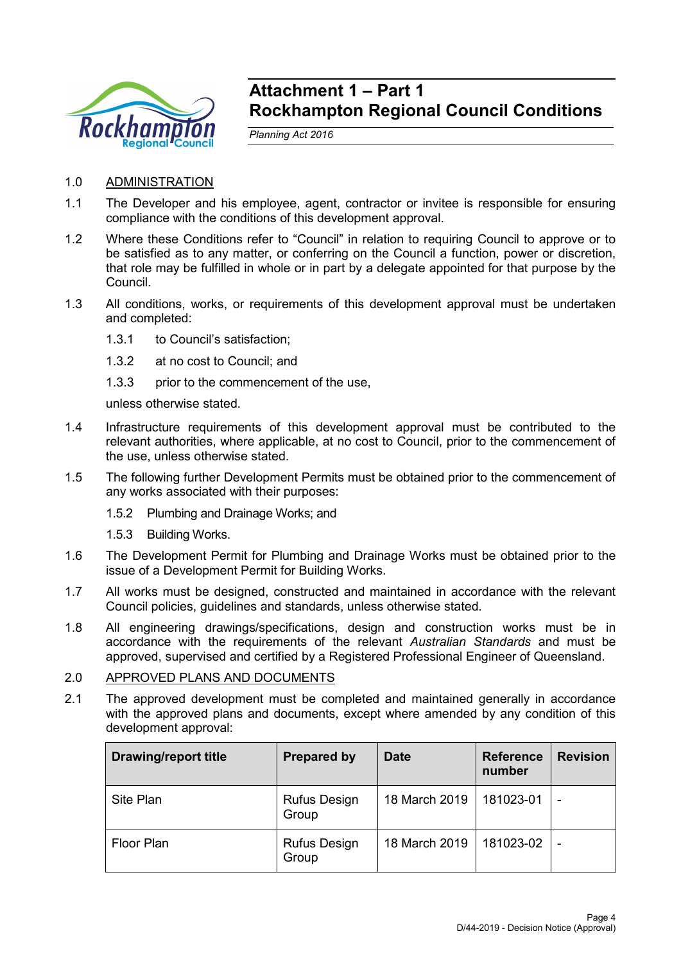

## **Attachment 1 – Part 1 Rockhampton Regional Council Conditions**

*Planning Act 2016*

- 1.0 ADMINISTRATION
- 1.1 The Developer and his employee, agent, contractor or invitee is responsible for ensuring compliance with the conditions of this development approval.
- 1.2 Where these Conditions refer to "Council" in relation to requiring Council to approve or to be satisfied as to any matter, or conferring on the Council a function, power or discretion, that role may be fulfilled in whole or in part by a delegate appointed for that purpose by the Council.
- 1.3 All conditions, works, or requirements of this development approval must be undertaken and completed:
	- 1.3.1 to Council's satisfaction;
	- 1.3.2 at no cost to Council; and
	- 1.3.3 prior to the commencement of the use,

unless otherwise stated.

- 1.4 Infrastructure requirements of this development approval must be contributed to the relevant authorities, where applicable, at no cost to Council, prior to the commencement of the use, unless otherwise stated.
- 1.5 The following further Development Permits must be obtained prior to the commencement of any works associated with their purposes:
	- 1.5.2 Plumbing and Drainage Works; and
	- 1.5.3 Building Works.
- 1.6 The Development Permit for Plumbing and Drainage Works must be obtained prior to the issue of a Development Permit for Building Works.
- 1.7 All works must be designed, constructed and maintained in accordance with the relevant Council policies, guidelines and standards, unless otherwise stated.
- 1.8 All engineering drawings/specifications, design and construction works must be in accordance with the requirements of the relevant *Australian Standards* and must be approved, supervised and certified by a Registered Professional Engineer of Queensland.
- 2.0 APPROVED PLANS AND DOCUMENTS
- 2.1 The approved development must be completed and maintained generally in accordance with the approved plans and documents, except where amended by any condition of this development approval:

| <b>Drawing/report title</b> | <b>Prepared by</b>           | <b>Date</b>   | <b>Reference</b><br>number | <b>Revision</b> |
|-----------------------------|------------------------------|---------------|----------------------------|-----------------|
| Site Plan                   | <b>Rufus Design</b><br>Group | 18 March 2019 | 181023-01                  | ٠               |
| Floor Plan                  | <b>Rufus Design</b><br>Group | 18 March 2019 | 181023-02                  | -               |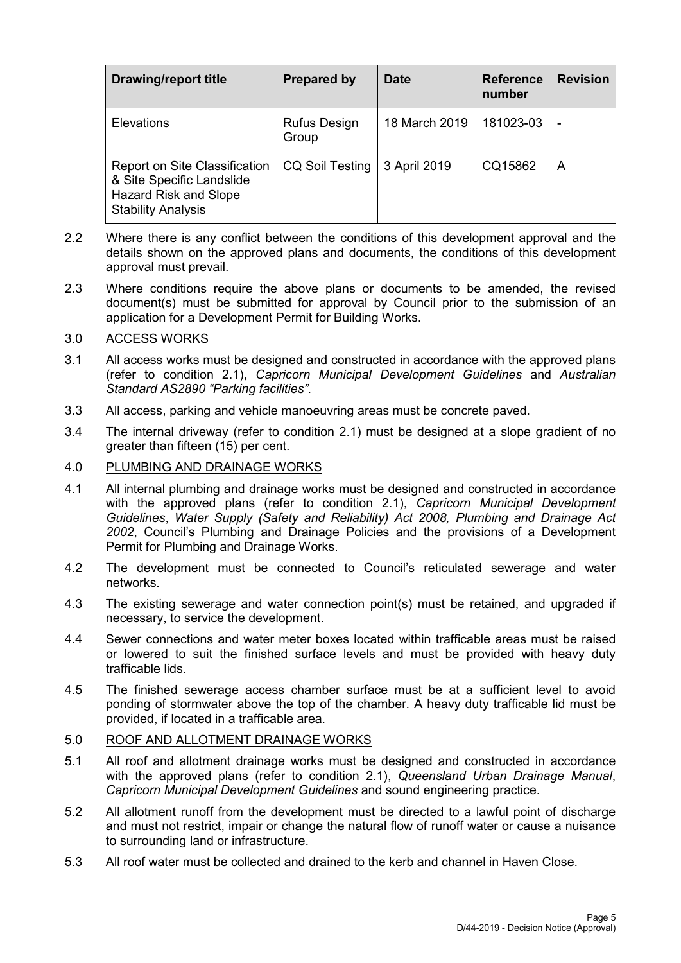| <b>Drawing/report title</b>                                                                                             | <b>Prepared by</b>           | <b>Date</b>   | <b>Reference</b><br>number | <b>Revision</b> |
|-------------------------------------------------------------------------------------------------------------------------|------------------------------|---------------|----------------------------|-----------------|
| <b>Elevations</b>                                                                                                       | <b>Rufus Design</b><br>Group | 18 March 2019 | 181023-03                  | -               |
| Report on Site Classification<br>& Site Specific Landslide<br><b>Hazard Risk and Slope</b><br><b>Stability Analysis</b> | <b>CQ Soil Testing</b>       | 3 April 2019  | CQ15862                    | A               |

- 2.2 Where there is any conflict between the conditions of this development approval and the details shown on the approved plans and documents, the conditions of this development approval must prevail.
- 2.3 Where conditions require the above plans or documents to be amended, the revised document(s) must be submitted for approval by Council prior to the submission of an application for a Development Permit for Building Works.

#### 3.0 ACCESS WORKS

- 3.1 All access works must be designed and constructed in accordance with the approved plans (refer to condition 2.1), *Capricorn Municipal Development Guidelines* and *Australian Standard AS2890 "Parking facilities"*.
- 3.3 All access, parking and vehicle manoeuvring areas must be concrete paved.
- 3.4 The internal driveway (refer to condition 2.1) must be designed at a slope gradient of no greater than fifteen (15) per cent.

#### 4.0 PLUMBING AND DRAINAGE WORKS

- 4.1 All internal plumbing and drainage works must be designed and constructed in accordance with the approved plans (refer to condition 2.1), *Capricorn Municipal Development Guidelines*, *Water Supply (Safety and Reliability) Act 2008, Plumbing and Drainage Act 2002*, Council's Plumbing and Drainage Policies and the provisions of a Development Permit for Plumbing and Drainage Works.
- 4.2 The development must be connected to Council's reticulated sewerage and water networks.
- 4.3 The existing sewerage and water connection point(s) must be retained, and upgraded if necessary, to service the development.
- 4.4 Sewer connections and water meter boxes located within trafficable areas must be raised or lowered to suit the finished surface levels and must be provided with heavy duty trafficable lids.
- 4.5 The finished sewerage access chamber surface must be at a sufficient level to avoid ponding of stormwater above the top of the chamber. A heavy duty trafficable lid must be provided, if located in a trafficable area.

#### 5.0 ROOF AND ALLOTMENT DRAINAGE WORKS

- 5.1 All roof and allotment drainage works must be designed and constructed in accordance with the approved plans (refer to condition 2.1), *Queensland Urban Drainage Manual*, *Capricorn Municipal Development Guidelines* and sound engineering practice.
- 5.2 All allotment runoff from the development must be directed to a lawful point of discharge and must not restrict, impair or change the natural flow of runoff water or cause a nuisance to surrounding land or infrastructure.
- 5.3 All roof water must be collected and drained to the kerb and channel in Haven Close.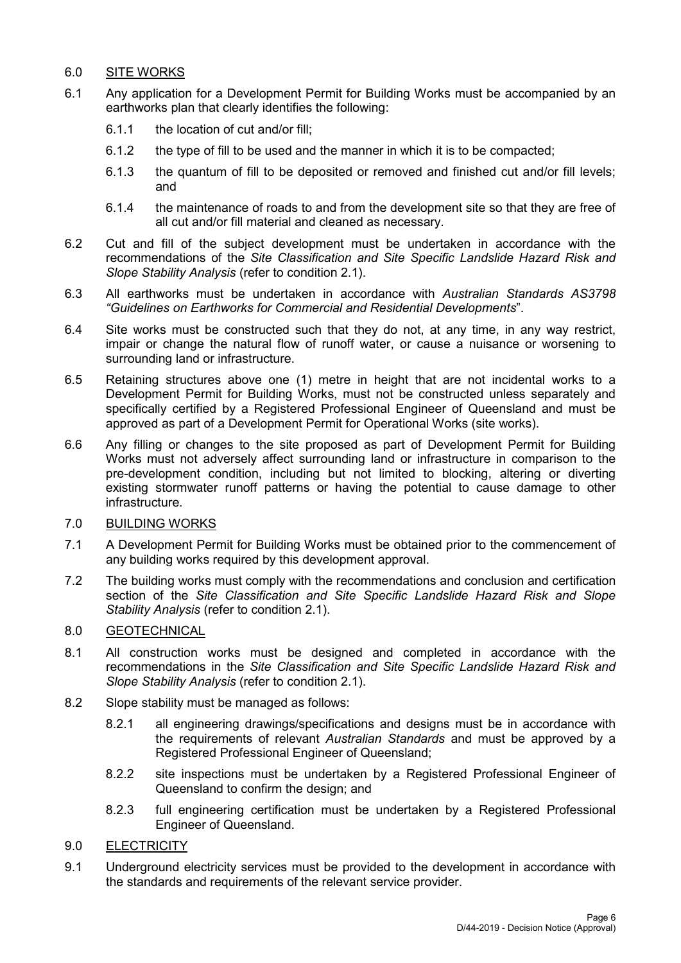## 6.0 SITE WORKS

- 6.1 Any application for a Development Permit for Building Works must be accompanied by an earthworks plan that clearly identifies the following:
	- 6.1.1 the location of cut and/or fill;
	- 6.1.2 the type of fill to be used and the manner in which it is to be compacted;
	- 6.1.3 the quantum of fill to be deposited or removed and finished cut and/or fill levels; and
	- 6.1.4 the maintenance of roads to and from the development site so that they are free of all cut and/or fill material and cleaned as necessary.
- 6.2 Cut and fill of the subject development must be undertaken in accordance with the recommendations of the *Site Classification and Site Specific Landslide Hazard Risk and Slope Stability Analysis* (refer to condition 2.1).
- 6.3 All earthworks must be undertaken in accordance with *Australian Standards AS3798 "Guidelines on Earthworks for Commercial and Residential Developments*".
- 6.4 Site works must be constructed such that they do not, at any time, in any way restrict, impair or change the natural flow of runoff water, or cause a nuisance or worsening to surrounding land or infrastructure.
- 6.5 Retaining structures above one (1) metre in height that are not incidental works to a Development Permit for Building Works, must not be constructed unless separately and specifically certified by a Registered Professional Engineer of Queensland and must be approved as part of a Development Permit for Operational Works (site works).
- 6.6 Any filling or changes to the site proposed as part of Development Permit for Building Works must not adversely affect surrounding land or infrastructure in comparison to the pre-development condition, including but not limited to blocking, altering or diverting existing stormwater runoff patterns or having the potential to cause damage to other infrastructure.
- 7.0 BUILDING WORKS
- 7.1 A Development Permit for Building Works must be obtained prior to the commencement of any building works required by this development approval.
- 7.2 The building works must comply with the recommendations and conclusion and certification section of the *Site Classification and Site Specific Landslide Hazard Risk and Slope Stability Analysis* (refer to condition 2.1).

## 8.0 GEOTECHNICAL

- 8.1 All construction works must be designed and completed in accordance with the recommendations in the *Site Classification and Site Specific Landslide Hazard Risk and Slope Stability Analysis* (refer to condition 2.1).
- 8.2 Slope stability must be managed as follows:
	- 8.2.1 all engineering drawings/specifications and designs must be in accordance with the requirements of relevant *Australian Standards* and must be approved by a Registered Professional Engineer of Queensland;
	- 8.2.2 site inspections must be undertaken by a Registered Professional Engineer of Queensland to confirm the design; and
	- 8.2.3 full engineering certification must be undertaken by a Registered Professional Engineer of Queensland.
- 9.0 ELECTRICITY
- 9.1 Underground electricity services must be provided to the development in accordance with the standards and requirements of the relevant service provider.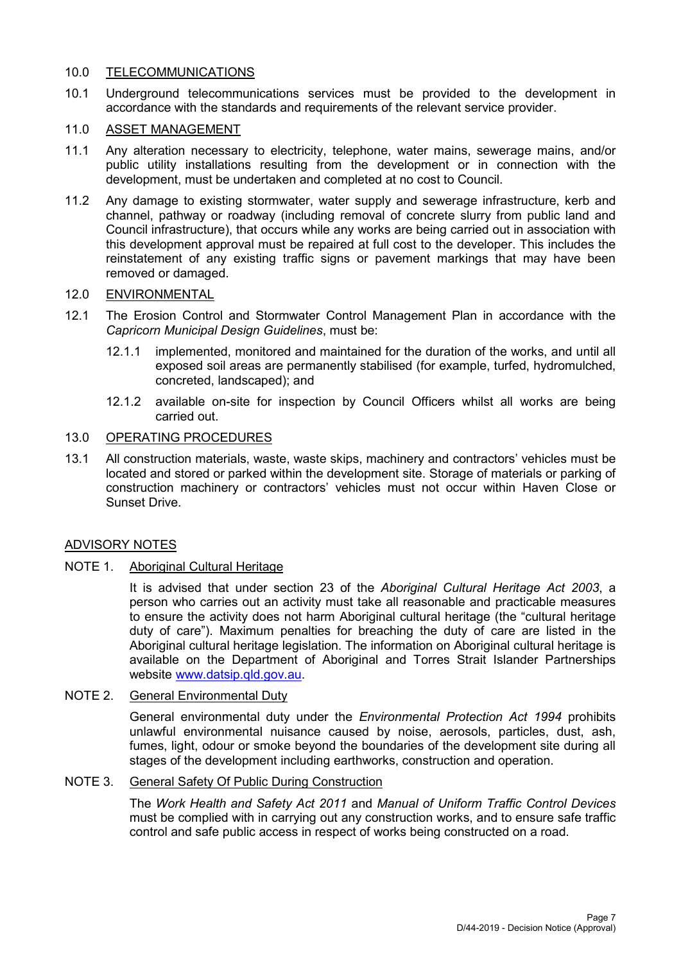#### 10.0 TELECOMMUNICATIONS

10.1 Underground telecommunications services must be provided to the development in accordance with the standards and requirements of the relevant service provider.

#### 11.0 ASSET MANAGEMENT

- 11.1 Any alteration necessary to electricity, telephone, water mains, sewerage mains, and/or public utility installations resulting from the development or in connection with the development, must be undertaken and completed at no cost to Council.
- 11.2 Any damage to existing stormwater, water supply and sewerage infrastructure, kerb and channel, pathway or roadway (including removal of concrete slurry from public land and Council infrastructure), that occurs while any works are being carried out in association with this development approval must be repaired at full cost to the developer. This includes the reinstatement of any existing traffic signs or pavement markings that may have been removed or damaged.

#### 12.0 ENVIRONMENTAL

- 12.1 The Erosion Control and Stormwater Control Management Plan in accordance with the *Capricorn Municipal Design Guidelines*, must be:
	- 12.1.1 implemented, monitored and maintained for the duration of the works, and until all exposed soil areas are permanently stabilised (for example, turfed, hydromulched, concreted, landscaped); and
	- 12.1.2 available on-site for inspection by Council Officers whilst all works are being carried out.

#### 13.0 OPERATING PROCEDURES

13.1 All construction materials, waste, waste skips, machinery and contractors' vehicles must be located and stored or parked within the development site. Storage of materials or parking of construction machinery or contractors' vehicles must not occur within Haven Close or Sunset Drive.

#### ADVISORY NOTES

#### NOTE 1. Aboriginal Cultural Heritage

It is advised that under section 23 of the *Aboriginal Cultural Heritage Act 2003*, a person who carries out an activity must take all reasonable and practicable measures to ensure the activity does not harm Aboriginal cultural heritage (the "cultural heritage duty of care"). Maximum penalties for breaching the duty of care are listed in the Aboriginal cultural heritage legislation. The information on Aboriginal cultural heritage is available on the Department of Aboriginal and Torres Strait Islander Partnerships website [www.datsip.qld.gov.au.](http://www.datsip.qld.gov.au/)

## NOTE 2. General Environmental Duty

General environmental duty under the *Environmental Protection Act 1994* prohibits unlawful environmental nuisance caused by noise, aerosols, particles, dust, ash, fumes, light, odour or smoke beyond the boundaries of the development site during all stages of the development including earthworks, construction and operation.

### NOTE 3. General Safety Of Public During Construction

The *Work Health and Safety Act 2011* and *Manual of Uniform Traffic Control Devices* must be complied with in carrying out any construction works, and to ensure safe traffic control and safe public access in respect of works being constructed on a road.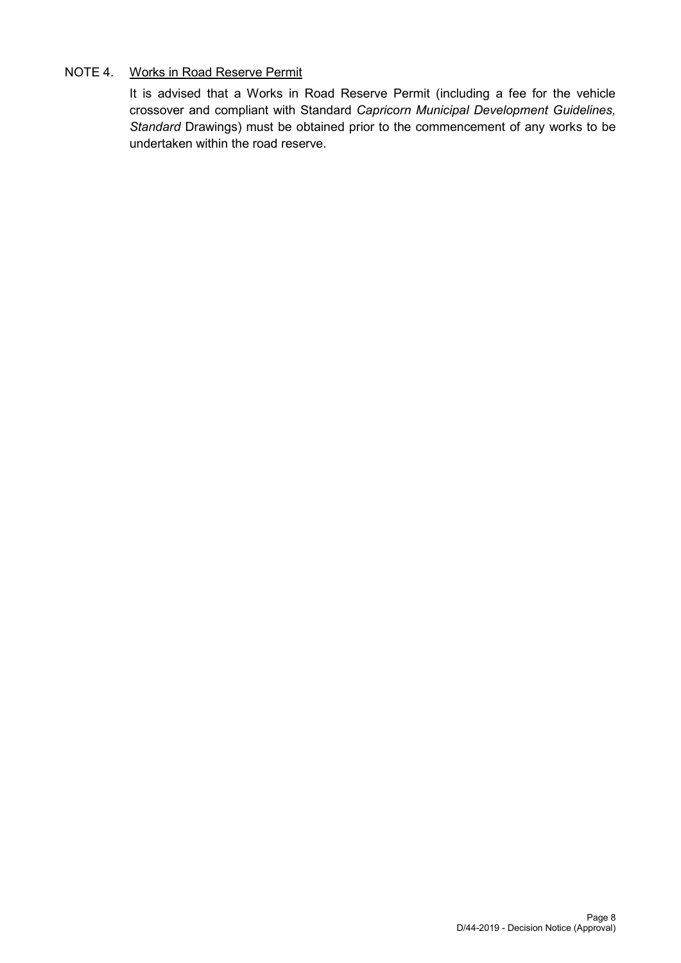## NOTE 4. Works in Road Reserve Permit

It is advised that a Works in Road Reserve Permit (including a fee for the vehicle crossover and compliant with Standard *Capricorn Municipal Development Guidelines, Standard* Drawings) must be obtained prior to the commencement of any works to be undertaken within the road reserve.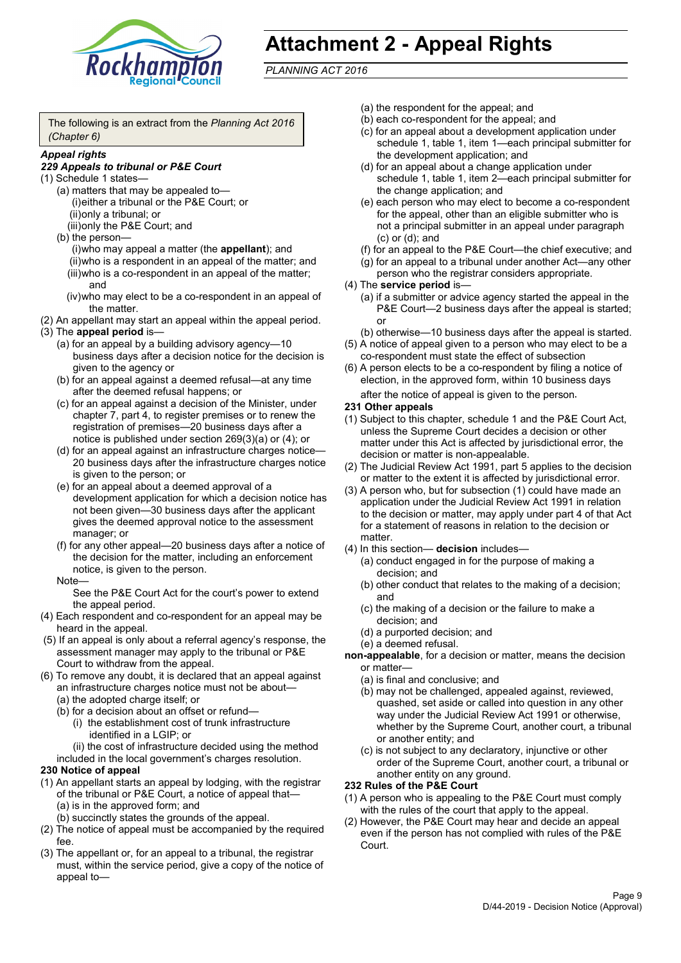

# **Attachment 2 - Appeal Rights**

*PLANNING ACT 2016*

The following is an extract from the *Planning Act 2016 (Chapter 6)*

#### *Appeal rights*

#### *229 Appeals to tribunal or P&E Court*

- (1) Schedule 1 states—
	- (a) matters that may be appealed to— (i)either a tribunal or the P&E Court; or (ii)only a tribunal; or (iii)only the P&E Court; and
	- (b) the person—

(i)who may appeal a matter (the **appellant**); and (ii)who is a respondent in an appeal of the matter; and (iii)who is a co-respondent in an appeal of the matter; and

- (iv)who may elect to be a co-respondent in an appeal of the matter.
- (2) An appellant may start an appeal within the appeal period.
- (3) The **appeal period** is—
	- (a) for an appeal by a building advisory agency—10 business days after a decision notice for the decision is given to the agency or
	- (b) for an appeal against a deemed refusal—at any time after the deemed refusal happens; or
	- (c) for an appeal against a decision of the Minister, under chapter 7, part 4, to register premises or to renew the registration of premises—20 business days after a notice is published under section 269(3)(a) or (4); or
	- (d) for an appeal against an infrastructure charges notice— 20 business days after the infrastructure charges notice is given to the person; or
	- (e) for an appeal about a deemed approval of a development application for which a decision notice has not been given—30 business days after the applicant gives the deemed approval notice to the assessment manager; or
	- (f) for any other appeal—20 business days after a notice of the decision for the matter, including an enforcement notice, is given to the person.

#### Note—

See the P&E Court Act for the court's power to extend the appeal period.

- (4) Each respondent and co-respondent for an appeal may be heard in the appeal.
- (5) If an appeal is only about a referral agency's response, the assessment manager may apply to the tribunal or P&E Court to withdraw from the appeal.
- (6) To remove any doubt, it is declared that an appeal against an infrastructure charges notice must not be about—
	- (a) the adopted charge itself; or
	- (b) for a decision about an offset or refund—
		- (i) the establishment cost of trunk infrastructure identified in a LGIP; or
		- (ii) the cost of infrastructure decided using the method

included in the local government's charges resolution.

#### **230 Notice of appeal**

- (1) An appellant starts an appeal by lodging, with the registrar of the tribunal or P&E Court, a notice of appeal that—
	- (a) is in the approved form; and
	- (b) succinctly states the grounds of the appeal.
- (2) The notice of appeal must be accompanied by the required fee.
- (3) The appellant or, for an appeal to a tribunal, the registrar must, within the service period, give a copy of the notice of appeal to—
- (a) the respondent for the appeal; and
- (b) each co-respondent for the appeal; and
- (c) for an appeal about a development application under schedule 1, table 1, item 1—each principal submitter for the development application; and
- (d) for an appeal about a change application under schedule 1, table 1, item 2—each principal submitter for the change application; and
- (e) each person who may elect to become a co-respondent for the appeal, other than an eligible submitter who is not a principal submitter in an appeal under paragraph (c) or (d); and
- (f) for an appeal to the P&E Court—the chief executive; and
- (g) for an appeal to a tribunal under another Act—any other person who the registrar considers appropriate.
- (4) The **service period** is—
	- (a) if a submitter or advice agency started the appeal in the P&E Court—2 business days after the appeal is started; or
	- (b) otherwise—10 business days after the appeal is started.
- (5) A notice of appeal given to a person who may elect to be a co-respondent must state the effect of subsection
- (6) A person elects to be a co-respondent by filing a notice of election, in the approved form, within 10 business days after the notice of appeal is given to the person*.*
- **231 Other appeals**
- (1) Subject to this chapter, schedule 1 and the P&E Court Act, unless the Supreme Court decides a decision or other matter under this Act is affected by jurisdictional error, the decision or matter is non-appealable.
- (2) The Judicial Review Act 1991, part 5 applies to the decision or matter to the extent it is affected by jurisdictional error.
- (3) A person who, but for subsection (1) could have made an application under the Judicial Review Act 1991 in relation to the decision or matter, may apply under part 4 of that Act for a statement of reasons in relation to the decision or matter.
- (4) In this section— **decision** includes—
	- (a) conduct engaged in for the purpose of making a decision; and
	- (b) other conduct that relates to the making of a decision; and
	- (c) the making of a decision or the failure to make a decision; and
	- (d) a purported decision; and
	- (e) a deemed refusal.

**non-appealable**, for a decision or matter, means the decision or matter—

- (a) is final and conclusive; and
- (b) may not be challenged, appealed against, reviewed, quashed, set aside or called into question in any other way under the Judicial Review Act 1991 or otherwise, whether by the Supreme Court, another court, a tribunal or another entity; and
- (c) is not subject to any declaratory, injunctive or other order of the Supreme Court, another court, a tribunal or another entity on any ground.

#### **232 Rules of the P&E Court**

- (1) A person who is appealing to the P&E Court must comply with the rules of the court that apply to the appeal.
- (2) However, the P&E Court may hear and decide an appeal even if the person has not complied with rules of the P&E Court.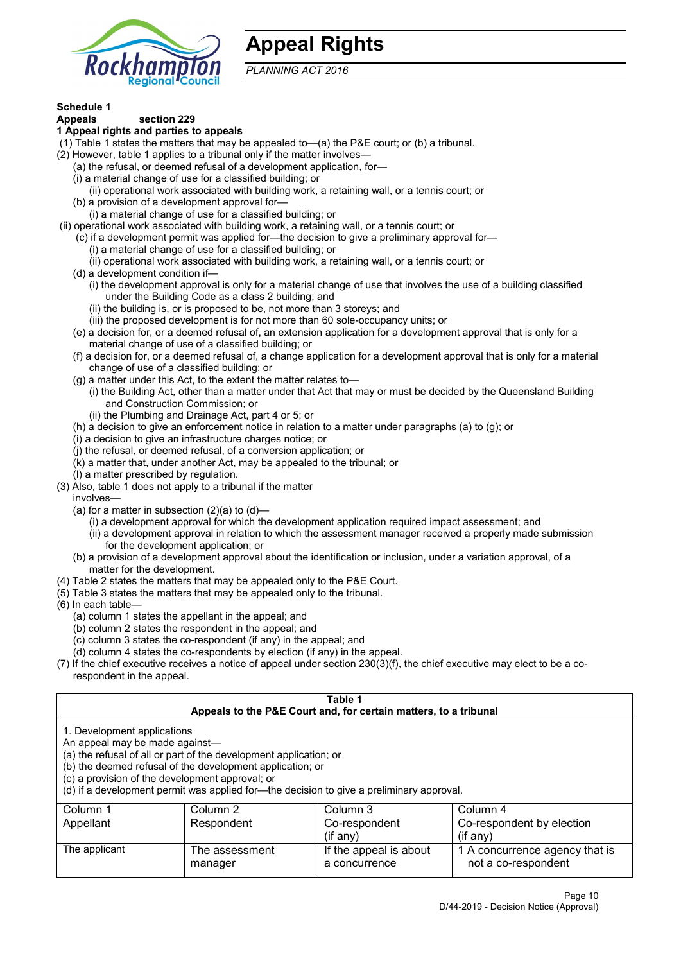

## **Appeal Rights**

*PLANNING ACT 2016*

# **Schedule 1**

#### **Appeals section 229 1 Appeal rights and parties to appeals**

- (1) Table 1 states the matters that may be appealed to—(a) the P&E court; or (b) a tribunal.
- (2) However, table 1 applies to a tribunal only if the matter involves—
	- (a) the refusal, or deemed refusal of a development application, for—
	- (i) a material change of use for a classified building; or
	- (ii) operational work associated with building work, a retaining wall, or a tennis court; or
	- (b) a provision of a development approval for—
	- (i) a material change of use for a classified building; or
- (ii) operational work associated with building work, a retaining wall, or a tennis court; or
	- (c) if a development permit was applied for—the decision to give a preliminary approval for—
		- (i) a material change of use for a classified building; or
	- (ii) operational work associated with building work, a retaining wall, or a tennis court; or
	- (d) a development condition if—
		- (i) the development approval is only for a material change of use that involves the use of a building classified under the Building Code as a class 2 building; and
		- (ii) the building is, or is proposed to be, not more than 3 storeys; and
		- (iii) the proposed development is for not more than 60 sole-occupancy units; or
	- (e) a decision for, or a deemed refusal of, an extension application for a development approval that is only for a material change of use of a classified building; or
	- (f) a decision for, or a deemed refusal of, a change application for a development approval that is only for a material change of use of a classified building; or
	- (g) a matter under this Act, to the extent the matter relates to—
		- (i) the Building Act, other than a matter under that Act that may or must be decided by the Queensland Building and Construction Commission; or
		- (ii) the Plumbing and Drainage Act, part 4 or 5; or
	- (h) a decision to give an enforcement notice in relation to a matter under paragraphs (a) to (g); or
	- (i) a decision to give an infrastructure charges notice; or
	- (j) the refusal, or deemed refusal, of a conversion application; or
	- (k) a matter that, under another Act, may be appealed to the tribunal; or
	- (l) a matter prescribed by regulation.
- (3) Also, table 1 does not apply to a tribunal if the matter

involves—

- (a) for a matter in subsection  $(2)(a)$  to  $(d)$ 
	- (i) a development approval for which the development application required impact assessment; and
	- (ii) a development approval in relation to which the assessment manager received a properly made submission for the development application; or
- (b) a provision of a development approval about the identification or inclusion, under a variation approval, of a matter for the development.
- (4) Table 2 states the matters that may be appealed only to the P&E Court.
- (5) Table 3 states the matters that may be appealed only to the tribunal.
- (6) In each table—
	- (a) column 1 states the appellant in the appeal; and
	- (b) column 2 states the respondent in the appeal; and
	- (c) column 3 states the co-respondent (if any) in the appeal; and
	- (d) column 4 states the co-respondents by election (if any) in the appeal.
- (7) If the chief executive receives a notice of appeal under section 230(3)(f), the chief executive may elect to be a corespondent in the appeal.

| Table 1                                                                                                                                                                                                                                                                                                                                                                                                            |                           |                                         |                                                       |  |
|--------------------------------------------------------------------------------------------------------------------------------------------------------------------------------------------------------------------------------------------------------------------------------------------------------------------------------------------------------------------------------------------------------------------|---------------------------|-----------------------------------------|-------------------------------------------------------|--|
| Appeals to the P&E Court and, for certain matters, to a tribunal<br>1. Development applications<br>An appeal may be made against-<br>(a) the refusal of all or part of the development application; or<br>(b) the deemed refusal of the development application; or<br>(c) a provision of the development approval; or<br>(d) if a development permit was applied for-the decision to give a preliminary approval. |                           |                                         |                                                       |  |
| Column 1<br>Column 2<br>Column 3<br>Column 4<br>Co-respondent by election<br>Appellant<br>Respondent<br>Co-respondent<br>$(i$ f any)<br>$(i$ f any)                                                                                                                                                                                                                                                                |                           |                                         |                                                       |  |
| The applicant                                                                                                                                                                                                                                                                                                                                                                                                      | The assessment<br>manager | If the appeal is about<br>a concurrence | 1 A concurrence agency that is<br>not a co-respondent |  |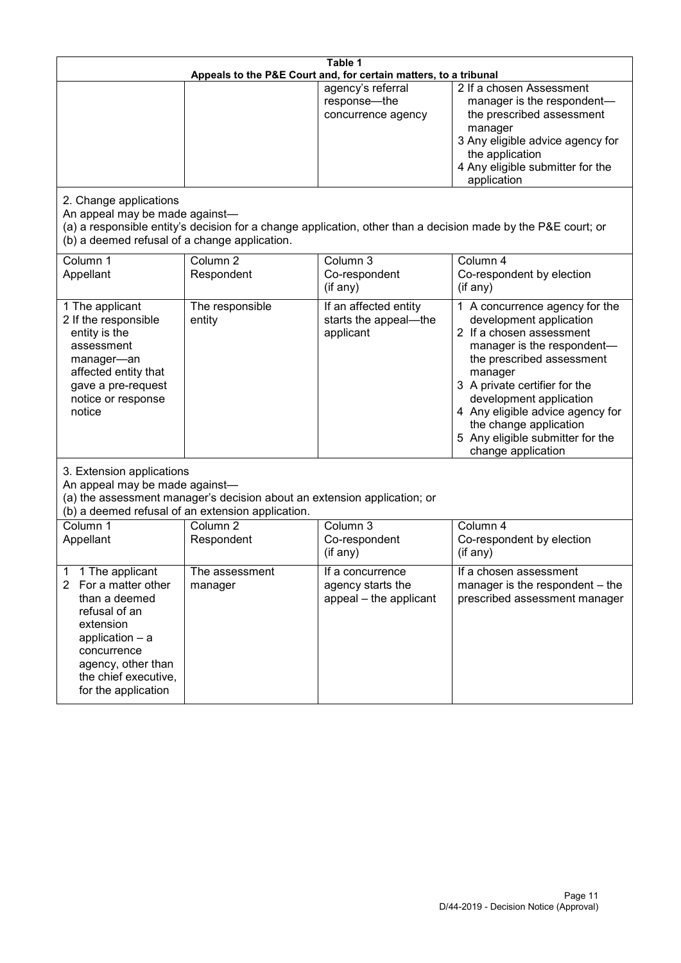| Table 1<br>Appeals to the P&E Court and, for certain matters, to a tribunal                                                                                                                                      |                                   |                                                                 |                                                                                                                                                                                                                                                                                                                                                 |  |
|------------------------------------------------------------------------------------------------------------------------------------------------------------------------------------------------------------------|-----------------------------------|-----------------------------------------------------------------|-------------------------------------------------------------------------------------------------------------------------------------------------------------------------------------------------------------------------------------------------------------------------------------------------------------------------------------------------|--|
|                                                                                                                                                                                                                  |                                   | agency's referral<br>response-the<br>concurrence agency         | 2 If a chosen Assessment<br>manager is the respondent-<br>the prescribed assessment<br>manager<br>3 Any eligible advice agency for<br>the application<br>4 Any eligible submitter for the<br>application                                                                                                                                        |  |
| 2. Change applications<br>An appeal may be made against-<br>(b) a deemed refusal of a change application.                                                                                                        |                                   |                                                                 | (a) a responsible entity's decision for a change application, other than a decision made by the P&E court; or                                                                                                                                                                                                                                   |  |
| Column 1<br>Appellant                                                                                                                                                                                            | Column <sub>2</sub><br>Respondent | Column 3<br>Co-respondent<br>(if any)                           | Column 4<br>Co-respondent by election<br>(if any)                                                                                                                                                                                                                                                                                               |  |
| 1 The applicant<br>2 If the responsible<br>entity is the<br>assessment<br>manager-an<br>affected entity that<br>gave a pre-request<br>notice or response<br>notice                                               | The responsible<br>entity         | If an affected entity<br>starts the appeal-the<br>applicant     | 1 A concurrence agency for the<br>development application<br>2 If a chosen assessment<br>manager is the respondent-<br>the prescribed assessment<br>manager<br>3 A private certifier for the<br>development application<br>4 Any eligible advice agency for<br>the change application<br>5 Any eligible submitter for the<br>change application |  |
| 3. Extension applications<br>An appeal may be made against-<br>(a) the assessment manager's decision about an extension application; or<br>(b) a deemed refusal of an extension application.                     |                                   |                                                                 |                                                                                                                                                                                                                                                                                                                                                 |  |
| Column 1<br>Appellant                                                                                                                                                                                            | Column <sub>2</sub><br>Respondent | Column 3<br>Co-respondent<br>(if any)                           | Column 4<br>Co-respondent by election<br>(if any)                                                                                                                                                                                                                                                                                               |  |
| 1 The applicant<br>1<br>For a matter other<br>$\mathbf{2}$<br>than a deemed<br>refusal of an<br>extension<br>application - a<br>concurrence<br>agency, other than<br>the chief executive,<br>for the application | The assessment<br>manager         | If a concurrence<br>agency starts the<br>appeal - the applicant | If a chosen assessment<br>manager is the respondent – the<br>prescribed assessment manager                                                                                                                                                                                                                                                      |  |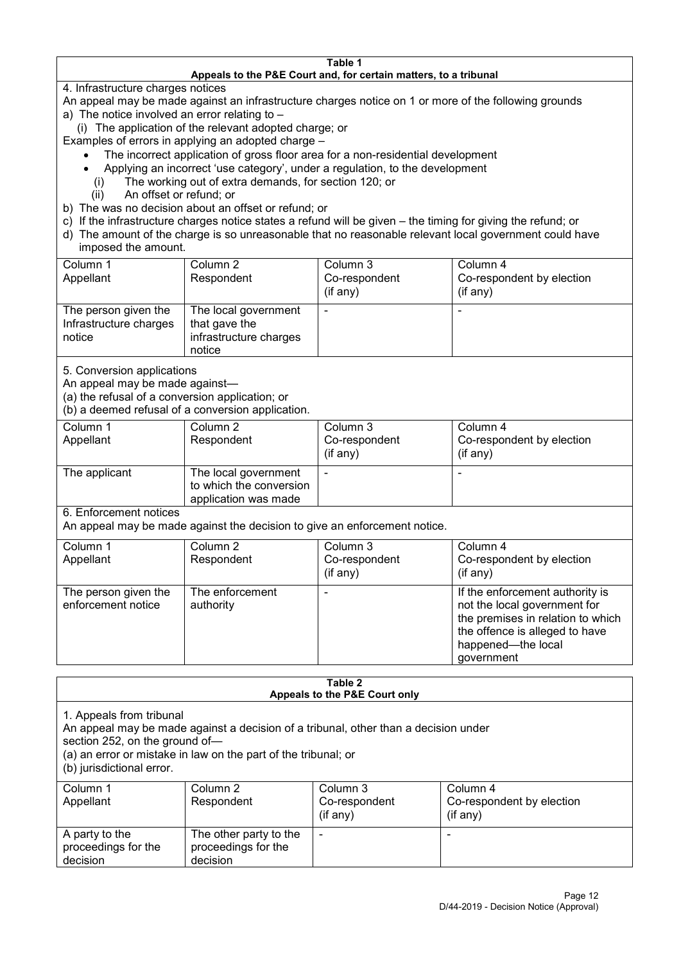#### **Table 1 Appeals to the P&E Court and, for certain matters, to a tribunal**

4. Infrastructure charges notices

- An appeal may be made against an infrastructure charges notice on 1 or more of the following grounds
- a) The notice involved an error relating to
	- (i) The application of the relevant adopted charge; or
- Examples of errors in applying an adopted charge
	- The incorrect application of gross floor area for a non-residential development
	- Applying an incorrect 'use category', under a regulation, to the development
	- (i) The working out of extra demands, for section 120; or
	- (ii) An offset or refund; or
- b) The was no decision about an offset or refund; or
- c) If the infrastructure charges notice states a refund will be given the timing for giving the refund; or
- d) The amount of the charge is so unreasonable that no reasonable relevant local government could have
- imposed the amount.

| Column 1                                                 | Column 2                                                                  | Column 3      | Column 4                  |
|----------------------------------------------------------|---------------------------------------------------------------------------|---------------|---------------------------|
| Appellant                                                | Respondent                                                                | Co-respondent | Co-respondent by election |
|                                                          |                                                                           | (if any)      | (if any)                  |
| The person given the<br>Infrastructure charges<br>notice | The local government<br>that gave the<br>infrastructure charges<br>notice | -             | $\overline{\phantom{a}}$  |

5. Conversion applications

An appeal may be made against—

(a) the refusal of a conversion application; or

(b) a deemed refusal of a conversion application.

| Column 1<br>Appellant | Column 2<br>Respondent                                                  | Column 3<br>Co-respondent | Column 4<br>Co-respondent by election |
|-----------------------|-------------------------------------------------------------------------|---------------------------|---------------------------------------|
|                       |                                                                         | $($ if any $)$            | $(if$ any)                            |
| The applicant         | The local government<br>to which the conversion<br>application was made |                           |                                       |

6. Enforcement notices

An appeal may be made against the decision to give an enforcement notice.

| Column 1                                   | Column 2                     | Column 3      | Column 4                                                                                                                                                                   |
|--------------------------------------------|------------------------------|---------------|----------------------------------------------------------------------------------------------------------------------------------------------------------------------------|
| Appellant                                  | Respondent                   | Co-respondent | Co-respondent by election                                                                                                                                                  |
|                                            |                              | (if any)      | (if any)                                                                                                                                                                   |
| The person given the<br>enforcement notice | The enforcement<br>authority |               | If the enforcement authority is<br>not the local government for<br>the premises in relation to which<br>the offence is alleged to have<br>happened-the local<br>government |

#### **Table 2 Appeals to the P&E Court only**

1. Appeals from tribunal

An appeal may be made against a decision of a tribunal, other than a decision under

section 252, on the ground of—

(a) an error or mistake in law on the part of the tribunal; or

(b) jurisdictional error.

| Column 1<br>Appellant                             | Column 2<br>Respondent                                    | Column 3<br>Co-respondent<br>$($ if any $)$ | Column 4<br>Co-respondent by election<br>$($ if any $)$ |
|---------------------------------------------------|-----------------------------------------------------------|---------------------------------------------|---------------------------------------------------------|
| A party to the<br>proceedings for the<br>decision | The other party to the<br>proceedings for the<br>decision | -                                           |                                                         |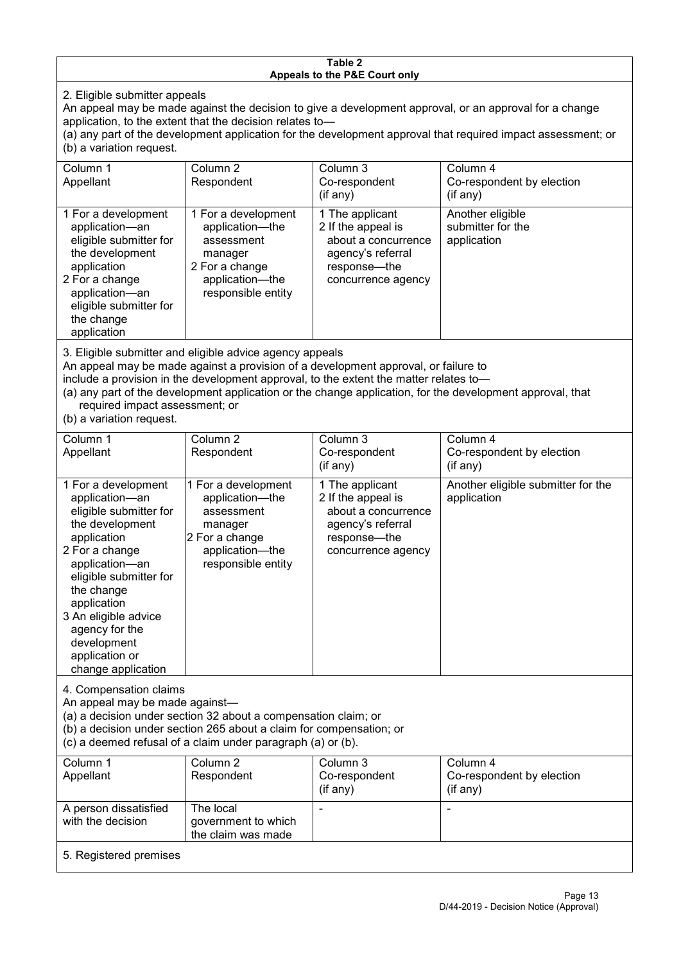#### **Table 2 Appeals to the P&E Court only**

2. Eligible submitter appeals

An appeal may be made against the decision to give a development approval, or an approval for a change An application, to the extent that the decision relates to—

(a) any part of the development application for the development approval that required impact assessment; or (b) a variation request.

| Column 1<br>Appellant                                                                                                                                                                                                                                                                                                                                                                                              | Column 2<br>Respondent                                                                                                     | Column 3<br>Co-respondent<br>(if any)                                                                                   | Column 4<br>Co-respondent by election<br>(i f any)   |  |
|--------------------------------------------------------------------------------------------------------------------------------------------------------------------------------------------------------------------------------------------------------------------------------------------------------------------------------------------------------------------------------------------------------------------|----------------------------------------------------------------------------------------------------------------------------|-------------------------------------------------------------------------------------------------------------------------|------------------------------------------------------|--|
| 1 For a development<br>application-an<br>eligible submitter for<br>the development<br>application<br>2 For a change<br>application-an<br>eligible submitter for<br>the change<br>application                                                                                                                                                                                                                       | 1 For a development<br>application-the<br>assessment<br>manager<br>2 For a change<br>application-the<br>responsible entity | 1 The applicant<br>2 If the appeal is<br>about a concurrence<br>agency's referral<br>response-the<br>concurrence agency | Another eligible<br>submitter for the<br>application |  |
| 3. Eligible submitter and eligible advice agency appeals<br>An appeal may be made against a provision of a development approval, or failure to<br>include a provision in the development approval, to the extent the matter relates to-<br>(a) any part of the development application or the change application, for the development approval, that<br>required impact assessment; or<br>(b) a variation request. |                                                                                                                            |                                                                                                                         |                                                      |  |

(b) a variation request.

with the decision

5. Registered premises

government to which the claim was made

| Column 1                                                                                                                                                                                                                                                                                      | Column <sub>2</sub>                                                                                                        | Column <sub>3</sub>                                                                                                     | Column 4                                          |  |
|-----------------------------------------------------------------------------------------------------------------------------------------------------------------------------------------------------------------------------------------------------------------------------------------------|----------------------------------------------------------------------------------------------------------------------------|-------------------------------------------------------------------------------------------------------------------------|---------------------------------------------------|--|
| Appellant                                                                                                                                                                                                                                                                                     | Respondent                                                                                                                 | Co-respondent                                                                                                           | Co-respondent by election                         |  |
|                                                                                                                                                                                                                                                                                               |                                                                                                                            | (if any)                                                                                                                | (i f an y)                                        |  |
| 1 For a development<br>application-an<br>eligible submitter for<br>the development<br>application<br>2 For a change<br>application-an<br>eligible submitter for<br>the change<br>application<br>3 An eligible advice<br>agency for the<br>development<br>application or<br>change application | 1 For a development<br>application-the<br>assessment<br>manager<br>2 For a change<br>application-the<br>responsible entity | 1 The applicant<br>2 If the appeal is<br>about a concurrence<br>agency's referral<br>response-the<br>concurrence agency | Another eligible submitter for the<br>application |  |
| 4. Compensation claims<br>An appeal may be made against-<br>(a) a decision under section 32 about a compensation claim; or<br>(b) a decision under section 265 about a claim for compensation; or<br>(c) a deemed refusal of a claim under paragraph (a) or (b).                              |                                                                                                                            |                                                                                                                         |                                                   |  |
| Column 1                                                                                                                                                                                                                                                                                      | Column $2$                                                                                                                 | Column 3                                                                                                                | Column 4                                          |  |
| Appellant                                                                                                                                                                                                                                                                                     | Respondent                                                                                                                 | Co-respondent                                                                                                           | Co-respondent by election                         |  |
|                                                                                                                                                                                                                                                                                               |                                                                                                                            | (if any)                                                                                                                | (if any)                                          |  |
| A person dissatisfied                                                                                                                                                                                                                                                                         | The local                                                                                                                  |                                                                                                                         |                                                   |  |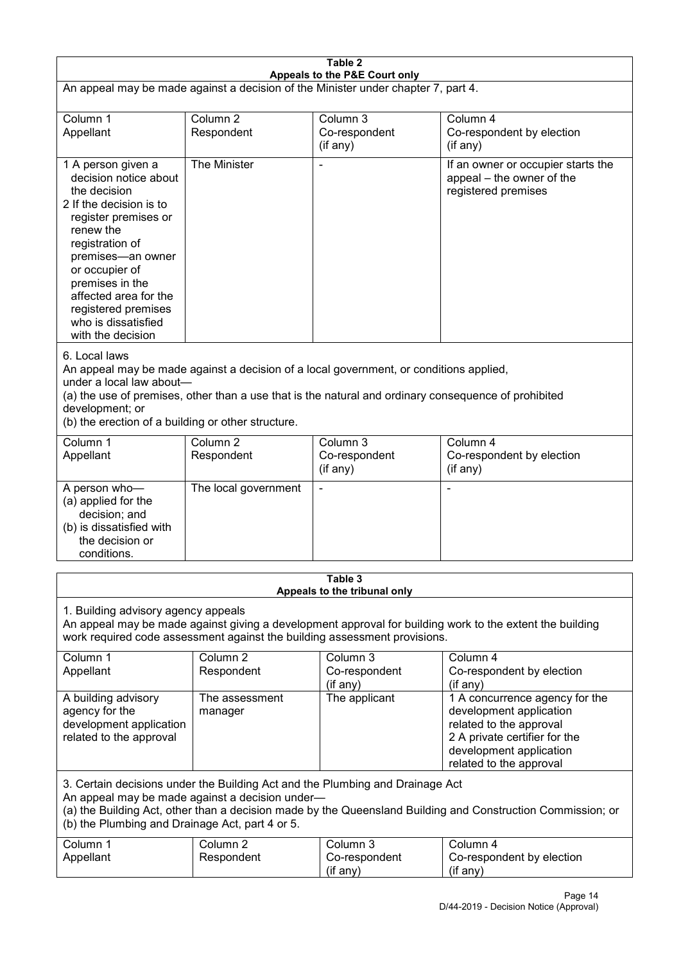| Table 2                                                                                                                                                                                                                                                                                              |                                   |                                                                                                                                                                                                |                                                                                                                                                                             |  |
|------------------------------------------------------------------------------------------------------------------------------------------------------------------------------------------------------------------------------------------------------------------------------------------------------|-----------------------------------|------------------------------------------------------------------------------------------------------------------------------------------------------------------------------------------------|-----------------------------------------------------------------------------------------------------------------------------------------------------------------------------|--|
| Appeals to the P&E Court only<br>An appeal may be made against a decision of the Minister under chapter 7, part 4.                                                                                                                                                                                   |                                   |                                                                                                                                                                                                |                                                                                                                                                                             |  |
| Column 1<br>Appellant                                                                                                                                                                                                                                                                                | Column <sub>2</sub><br>Respondent | Column 3<br>Co-respondent<br>(if any)                                                                                                                                                          | Column 4<br>Co-respondent by election<br>(if any)                                                                                                                           |  |
| 1 A person given a<br>decision notice about<br>the decision<br>2 If the decision is to<br>register premises or<br>renew the<br>registration of<br>premises-an owner<br>or occupier of<br>premises in the<br>affected area for the<br>registered premises<br>who is dissatisfied<br>with the decision | The Minister                      |                                                                                                                                                                                                | If an owner or occupier starts the<br>appeal – the owner of the<br>registered premises                                                                                      |  |
| 6. Local laws<br>under a local law about-<br>development; or<br>(b) the erection of a building or other structure.                                                                                                                                                                                   |                                   | An appeal may be made against a decision of a local government, or conditions applied,<br>(a) the use of premises, other than a use that is the natural and ordinary consequence of prohibited |                                                                                                                                                                             |  |
| Column 1<br>Appellant                                                                                                                                                                                                                                                                                | Column <sub>2</sub><br>Respondent | Column 3<br>Co-respondent<br>(if any)                                                                                                                                                          | Column 4<br>Co-respondent by election<br>(if any)                                                                                                                           |  |
| A person who-<br>(a) applied for the<br>decision; and<br>(b) is dissatisfied with<br>the decision or<br>conditions.                                                                                                                                                                                  | The local government              |                                                                                                                                                                                                |                                                                                                                                                                             |  |
|                                                                                                                                                                                                                                                                                                      |                                   | Table 3<br>Appeals to the tribunal only                                                                                                                                                        |                                                                                                                                                                             |  |
| 1. Building advisory agency appeals<br>An appeal may be made against giving a development approval for building work to the extent the building<br>work required code assessment against the building assessment provisions.                                                                         |                                   |                                                                                                                                                                                                |                                                                                                                                                                             |  |
| Column 1<br>Appellant                                                                                                                                                                                                                                                                                | Column <sub>2</sub><br>Respondent | Column 3<br>Co-respondent<br>(if any)                                                                                                                                                          | Column 4<br>Co-respondent by election<br>(if any)                                                                                                                           |  |
| A building advisory<br>agency for the<br>development application<br>related to the approval                                                                                                                                                                                                          | The assessment<br>manager         | The applicant                                                                                                                                                                                  | 1 A concurrence agency for the<br>development application<br>related to the approval<br>2 A private certifier for the<br>development application<br>related to the approval |  |
| 3. Certain decisions under the Building Act and the Plumbing and Drainage Act<br>An appeal may be made against a decision under-<br>(a) the Building Act, other than a decision made by the Queensland Building and Construction Commission; or<br>(b) the Plumbing and Drainage Act, part 4 or 5.   |                                   |                                                                                                                                                                                                |                                                                                                                                                                             |  |
| Column 1<br>Appellant                                                                                                                                                                                                                                                                                | Column <sub>2</sub><br>Respondent | Column 3<br>Co-respondent<br>(if any)                                                                                                                                                          | Column 4<br>Co-respondent by election<br>(if any)                                                                                                                           |  |